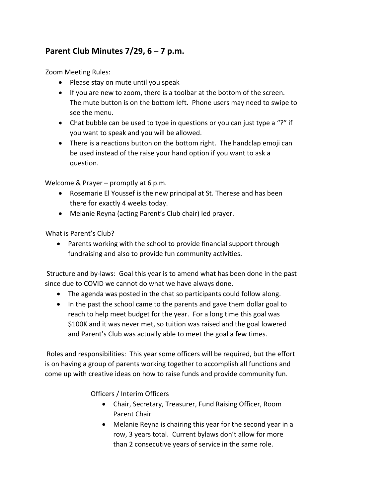## **Parent Club Minutes 7/29, 6 – 7 p.m.**

Zoom Meeting Rules:

- Please stay on mute until you speak
- If you are new to zoom, there is a toolbar at the bottom of the screen. The mute button is on the bottom left. Phone users may need to swipe to see the menu.
- Chat bubble can be used to type in questions or you can just type a "?" if you want to speak and you will be allowed.
- There is a reactions button on the bottom right. The handclap emoji can be used instead of the raise your hand option if you want to ask a question.

Welcome & Prayer – promptly at 6 p.m.

- Rosemarie El Youssef is the new principal at St. Therese and has been there for exactly 4 weeks today.
- Melanie Reyna (acting Parent's Club chair) led prayer.

What is Parent's Club?

• Parents working with the school to provide financial support through fundraising and also to provide fun community activities.

Structure and by-laws: Goal this year is to amend what has been done in the past since due to COVID we cannot do what we have always done.

- The agenda was posted in the chat so participants could follow along.
- In the past the school came to the parents and gave them dollar goal to reach to help meet budget for the year. For a long time this goal was \$100K and it was never met, so tuition was raised and the goal lowered and Parent's Club was actually able to meet the goal a few times.

Roles and responsibilities: This year some officers will be required, but the effort is on having a group of parents working together to accomplish all functions and come up with creative ideas on how to raise funds and provide community fun.

Officers / Interim Officers

- Chair, Secretary, Treasurer, Fund Raising Officer, Room Parent Chair
- Melanie Reyna is chairing this year for the second year in a row, 3 years total. Current bylaws don't allow for more than 2 consecutive years of service in the same role.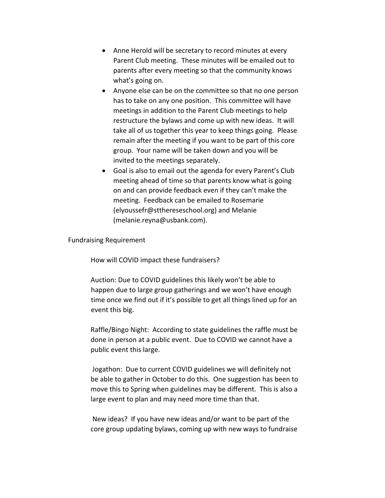- Anne Herold will be secretary to record minutes at every Parent Club meeting. These minutes will be emailed out to parents after every meeting so that the community knows what's going on.
- Anyone else can be on the committee so that no one person has to take on any one position. This committee will have meetings in addition to the Parent Club meetings to help restructure the bylaws and come up with new ideas. It will take all of us together this year to keep things going. Please remain after the meeting if you want to be part of this core group. Your name will be taken down and you will be invited to the meetings separately.
- Goal is also to email out the agenda for every Parent's Club meeting ahead of time so that parents know what is going on and can provide feedback even if they can't make the meeting. Feedback can be emailed to Rosemarie (elyoussefr@stthereseschool.org) and Melanie (melanie.reyna@usbank.com).

## Fundraising Requirement

How will COVID impact these fundraisers?

Auction: Due to COVID guidelines this likely won't be able to happen due to large group gatherings and we won't have enough time once we find out if it's possible to get all things lined up for an event this big.

Raffle/Bingo Night: According to state guidelines the raffle must be done in person at a public event. Due to COVID we cannot have a public event this large.

Jogathon: Due to current COVID guidelines we will definitely not be able to gather in October to do this. One suggestion has been to move this to Spring when guidelines may be different. This is also a large event to plan and may need more time than that.

New ideas? If you have new ideas and/or want to be part of the core group updating bylaws, coming up with new ways to fundraise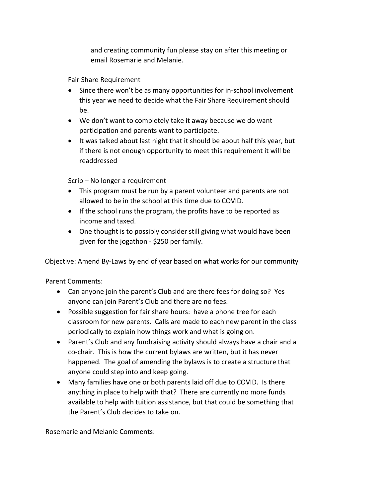and creating community fun please stay on after this meeting or email Rosemarie and Melanie.

Fair Share Requirement

- Since there won't be as many opportunities for in-school involvement this year we need to decide what the Fair Share Requirement should be.
- We don't want to completely take it away because we do want participation and parents want to participate.
- It was talked about last night that it should be about half this year, but if there is not enough opportunity to meet this requirement it will be readdressed

Scrip – No longer a requirement

- This program must be run by a parent volunteer and parents are not allowed to be in the school at this time due to COVID.
- If the school runs the program, the profits have to be reported as income and taxed.
- One thought is to possibly consider still giving what would have been given for the jogathon - \$250 per family.

Objective: Amend By-Laws by end of year based on what works for our community

Parent Comments:

- Can anyone join the parent's Club and are there fees for doing so? Yes anyone can join Parent's Club and there are no fees.
- Possible suggestion for fair share hours: have a phone tree for each classroom for new parents. Calls are made to each new parent in the class periodically to explain how things work and what is going on.
- Parent's Club and any fundraising activity should always have a chair and a co-chair. This is how the current bylaws are written, but it has never happened. The goal of amending the bylaws is to create a structure that anyone could step into and keep going.
- Many families have one or both parents laid off due to COVID. Is there anything in place to help with that? There are currently no more funds available to help with tuition assistance, but that could be something that the Parent's Club decides to take on.

Rosemarie and Melanie Comments: